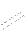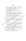## บรรณานุกรม

กรมการแพทย์. (2538 ก), รายงานสถิติ วิเคราะห์ระบบข้อมูลประชากรผู้ติดยาเสพติด แรกเข้ารับการบำบัดรักษา, กระทรวงสาธารณลุข,

- \_ . (2538 ข). รายงานสถิติวิเคราะห์ระบบช้อมูลการติดยาเสพติด ปิงบ ประมาณ 2538. กระทรวงสาธารณสบ.
	- . (2544). ค่มือบำบัดฟื้นฟูสมรรถภาพเข้มข้นทางสายใหม่ (FAST MODEL). กระทรวงสาธารณสุข.

-กรมวิชาการ. (2540 ก). สำคัญที่ใจ คู่มือการปฏิบัติงาน : การใช้กระบวนการแห้งแน่งเพื่อ ป้องกันและแก้ไขปัญหาสารเสพติดในสถานศึกษา ระดับมัธยุมส์ลีกษา: ศูนย์แนะแนวการศึกษาและอาชีพ. กระทรวงศึกษาธิการจุ $\overset{\text{\textcircled{\tiny{(1)}}}}{\sim}$ 

. (2540 ข). ร่วมใจ ต้านกับ สารเสพติด คู่มีอุตฺาจันธุ์ทุจระการใช้กระบวน การแนะแนวเพื่อป้องกันและแก้ไข้ที่ญินจุลางเสิทติดในสถานศึกษา. กระทรวง ศึกษาธิการ.

จรูญ จิตติวุฒการ. (2545). ยาบ้าตัวรัฐยาลันดูรายกว่าที่คิด, กรมกิจการพลุเรือนูล

ทองทิพย์ บูรณสงคราม. (2545) อิทิจอัยที่มีดีอีความสำเร็จของโครงทิ้งรพึ่งฟูสมรรถภาพ ผู้ติดยุกริสพูดิต์ในโรงเรียนวิวัฒน์พลเมือง ค่ายฟื้นฟูและพัฒนาคุณภาพชีวิต กองพลัศษารัฐมนที่ 11". เอกลารวิจัยส่วนบุศติอาชีพทางยักวรทัพบก สถาบันวิชาการ Andring Thas.

> (2546). "สัมฤทธิผลการพัฒน<sub>์</sub>จัง<u>สัพย์วิศร</u>มนุษย์ของกอ<mark>งทัพบกศึกษาเฉพาะ</mark> กรณีผู้ติดยาเสพติดที่เข้าชับการอบรม ในโครงการโรงเรียนวิวัฒน์พลเมือง ค่ายฟื้นฟูและพัฒนาคณิกพ์ชีวิต (แบบสมัครใจ) กรมทหารราบที่ 3". หลัก สูตรพยาบา<del>สสาสัตร์ วิ</del>ทยาลัยพยาบาลกองทัพบก.

นงลักษณ์ โดนันสู่สูง (2539). "การประยุกต์ทฤษฎีแรงจูงใจในการป้องกันโรคร่วมกับแรง ส์นั่งสนุนทางสังคมเพื่อการป้องกันการพึ่งยาแอมเฟตามีนของนักเรียนมัธยม ้ศึกษาดอน<mark>ด้น อำเภอเมือง จังหวัด</mark>ลำปาง". วิทยานิพนธ์ปริญญา มหาบัณฑิด สาขาสาธารณสุขศาสตร์ มหาวิทยาลัยมหิดล.

้นงลักษณ์ สุทธิวัฒนพันธ์. (2542) "พัฒนาบุคลิกผู้นำ และนักบริหาร". กรุงเทพมหานคร : สำนักพิมพ์ภูมิปัญญา บริษัทศูนย์ส่งเสริมปัญญาไทยจำกัด.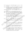- นิสดารก์ แวชยานนท์ (ม.ป.ป.), "การบริหารทรัพยากรมนุษย์", กรุงเทพมหานคร : โรงพิมพ์ ที พี –เอ็มเพรส.
- พิสมัย สุขอมรรัตน์ (2540) "การประยุกต์โปรแกรมทักษะชีวิตเพื่อป้องกันการสูบบุหรี่ใน นักเรียนชั้นมัธยมศึกษาปีที่ 2 สังกัดกรมสามัญศึกษา กรุงเทพมหานคร". วิทยานิพนธ์มหาบัณฑิต สาขาสาธารณสุขศาสตร์ หาวิทยาลัยมหิดล.
- มหาวิทยาลัยมหิดล. (2541, มกราคม แมษายน). วารสารสุขศึกษา. มหาวิทยาลัยมหิดล.  $21(78):11$
- ้ยงยุทธ วงศ์ภิรมย์ศานต์. (2538), การสอนทักษะชีวิตเพื่อการป้องกันการใช้สารเสพติด.
- ้จันทโชติ. (2540). ศึกษาการพัฒนาหลักสูตรป้องกันยาเสพติดสำหรัฐมีถักสึกษา วิเชียร อุตสาหกรรมศึกษา สถาบันราชภัฏอุดรธานี" วิทยานิพแธ์ปูรัญญามหาบัณฑิต สาขาการศึกษา มหาวิทยาลัยศรีนครินทรวิโรฒประสานมิตริ (
- วิมล หน่อพงษ์ (2538) "ผลของกิจกรรมกลุ่ม ที่มีต่อสัมพันธ์ทาพระหว่างบุคคล ของ นักเรียนชั้นมัธยมศึกษาปีที่ 2 โรงเรียนองค์รักษ์ ส่งหวัดนครนายก". วิทยานิพนธ์ ปริญญามหาบัณฑิต สาขาจิตจิทยากอัสถิง) ได้สูงจิทยาลัยศรีนครินทรวิโรฒประสาง มีตร.
- เผือกคง. (2541). การสีที่บารายก็จิตินักเรียนติดยาเสพติดในสู่ถึงนี้บ้าบัดและ ศุภาณัฐ พื้นฟูสมุรรถภูชน์ผู้ติดมาเสพติด โรงพยาบาลค่ายสมุเสื้อพระน์เรศวรมหาราช จังหวัดทินส์เลิก วิทยานิพนธ์ปริญญามหาบัณฑิต สิ่งผู้ทำรศึกษา มหาวิทยาลัย 外皮的少人

ัสสามคณะศิรรมการป้องกันและปราบปสามบาโสพติด (2544 n) คำสั่งที่ สำนักนายก รัฐมนตรีที่ 22812544 เรื่องแผนใช้บัติการเพื่อเอาชนะยาเสพติด สำนักนายก วัลมนตรี.

(2544 ข). นโยบั้งยุษทธิศาสตร์และแผน ด้านการป้องกันและปราบปราม ยา lawติศของรัฐบทล์ในช่วงแผนพัฒนาฯ ฉบับที่ 9 (พ.ศ. 2545 - 2549). สำนัก นายกรรมนตรี

≹2544 ค). "จุดมุ่งหมาย วัดถุประสงค์ เป้าหมายและการพัฒนาแนวทางการ ใช้พลัง**แผ่นดินเพื่อเอาชนะยาเสพติด**" เอกสารประกอบการประชุมมอบนโยบาย ยุทธศาสตร์พลังแผ่นดินและแผนปฏิบัติการ เพื่อเอาชนะยาเสพติด ณ อินแพ็ก คอนเวชั่นเซ็นเตอร์ เมืองทองธานี นนทบุรี, สำนักนายกรัฐมนตรี